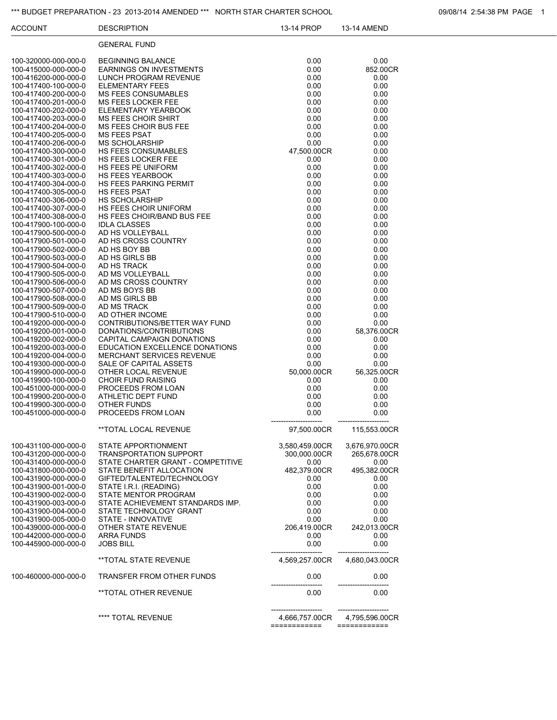#### \*\*\* BUDGET PREPARATION - 23 2013-2014 AMENDED \*\*\* NORTH STAR CHARTER SCHOOL 00008/14 2:54:38 PM PAGE 1

| <b>ACCOUNT</b>                               | <b>DESCRIPTION</b>                                         | 13-14 PROP           | 13-14 AMEND          |
|----------------------------------------------|------------------------------------------------------------|----------------------|----------------------|
|                                              | <b>GENERAL FUND</b>                                        |                      |                      |
| 100-320000-000-000-0                         | <b>BEGINNING BALANCE</b>                                   | 0.00                 | 0.00                 |
| 100-415000-000-000-0                         | <b>EARNINGS ON INVESTMENTS</b>                             | 0.00                 | 852.00CR             |
| 100-416200-000-000-0                         | LUNCH PROGRAM REVENUE                                      | 0.00                 | 0.00                 |
| 100-417400-100-000-0                         | <b>ELEMENTARY FEES</b>                                     | 0.00                 | 0.00                 |
| 100-417400-200-000-0                         | <b>MS FEES CONSUMABLES</b>                                 | 0.00                 | 0.00                 |
| 100-417400-201-000-0                         | MS FEES LOCKER FEE                                         | 0.00                 | 0.00                 |
| 100-417400-202-000-0                         | ELEMENTARY YEARBOOK                                        | 0.00                 | 0.00                 |
| 100-417400-203-000-0<br>100-417400-204-000-0 | <b>MS FEES CHOIR SHIRT</b><br><b>MS FEES CHOIR BUS FEE</b> | 0.00<br>0.00         | 0.00<br>0.00         |
| 100-417400-205-000-0                         | <b>MS FEES PSAT</b>                                        | 0.00                 | 0.00                 |
| 100-417400-206-000-0                         | <b>MS SCHOLARSHIP</b>                                      | 0.00                 | 0.00                 |
| 100-417400-300-000-0                         | <b>HS FEES CONSUMABLES</b>                                 | 47,500.00CR          | 0.00                 |
| 100-417400-301-000-0                         | HS FEES LOCKER FEE                                         | 0.00                 | 0.00                 |
| 100-417400-302-000-0                         | HS FEES PE UNIFORM                                         | 0.00                 | 0.00                 |
| 100-417400-303-000-0                         | <b>HS FEES YEARBOOK</b>                                    | 0.00                 | 0.00                 |
| 100-417400-304-000-0                         | <b>HS FEES PARKING PERMIT</b><br><b>HS FEES PSAT</b>       | 0.00                 | 0.00                 |
| 100-417400-305-000-0<br>100-417400-306-000-0 | <b>HS SCHOLARSHIP</b>                                      | 0.00<br>0.00         | 0.00<br>0.00         |
| 100-417400-307-000-0                         | HS FEES CHOIR UNIFORM                                      | 0.00                 | 0.00                 |
| 100-417400-308-000-0                         | HS FEES CHOIR/BAND BUS FEE                                 | 0.00                 | 0.00                 |
| 100-417900-100-000-0                         | <b>IDLA CLASSES</b>                                        | 0.00                 | 0.00                 |
| 100-417900-500-000-0                         | AD HS VOLLEYBALL                                           | 0.00                 | 0.00                 |
| 100-417900-501-000-0                         | AD HS CROSS COUNTRY                                        | 0.00                 | 0.00                 |
| 100-417900-502-000-0                         | AD HS BOY BB                                               | 0.00                 | 0.00                 |
| 100-417900-503-000-0<br>100-417900-504-000-0 | AD HS GIRLS BB<br>AD HS TRACK                              | 0.00<br>0.00         | 0.00<br>0.00         |
| 100-417900-505-000-0                         | AD MS VOLLEYBALL                                           | 0.00                 | 0.00                 |
| 100-417900-506-000-0                         | AD MS CROSS COUNTRY                                        | 0.00                 | 0.00                 |
| 100-417900-507-000-0                         | AD MS BOYS BB                                              | 0.00                 | 0.00                 |
| 100-417900-508-000-0                         | AD MS GIRLS BB                                             | 0.00                 | 0.00                 |
| 100-417900-509-000-0                         | AD MS TRACK                                                | 0.00                 | 0.00                 |
| 100-417900-510-000-0                         | AD OTHER INCOME                                            | 0.00                 | 0.00                 |
| 100-419200-000-000-0                         | CONTRIBUTIONS/BETTER WAY FUND                              | 0.00                 | 0.00                 |
| 100-419200-001-000-0<br>100-419200-002-000-0 | DONATIONS/CONTRIBUTIONS<br>CAPITAL CAMPAIGN DONATIONS      | 0.00<br>0.00         | 58,376.00CR<br>0.00  |
| 100-419200-003-000-0                         | EDUCATION EXCELLENCE DONATIONS                             | 0.00                 | 0.00                 |
| 100-419200-004-000-0                         | MERCHANT SERVICES REVENUE                                  | 0.00                 | 0.00                 |
| 100-419300-000-000-0                         | SALE OF CAPITAL ASSETS                                     | 0.00                 | 0.00                 |
| 100-419900-000-000-0                         | OTHER LOCAL REVENUE                                        | 50,000.00CR          | 56,325.00CR          |
| 100-419900-100-000-0                         | <b>CHOIR FUND RAISING</b>                                  | 0.00                 | 0.00                 |
| 100-451000-000-000-0                         | PROCEEDS FROM LOAN                                         | 0.00                 | 0.00                 |
| 100-419900-200-000-0                         | ATHLETIC DEPT FUND<br>OTHER FUNDS                          | 0.00                 | 0.00                 |
| 100-419900-300-000-0<br>100-451000-000-000-0 | PROCEEDS FROM LOAN                                         | 0.00<br>0.00         | 0.00<br>0.00         |
|                                              |                                                            |                      |                      |
|                                              | **TOTAL LOCAL REVENUE                                      | 97,500.00CR          | 115,553.00CR         |
| 100-431100-000-000-0                         | STATE APPORTIONMENT                                        | 3,580,459.00CR       | 3,676,970,00CR       |
| 100-431200-000-000-0                         | <b>TRANSPORTATION SUPPORT</b>                              | 300,000.00CR         | 265,678.00CR         |
| 100-431400-000-000-0                         | STATE CHARTER GRANT - COMPETITIVE                          | 0.00                 | 0.00                 |
| 100-431800-000-000-0<br>100-431900-000-000-0 | STATE BENEFIT ALLOCATION<br>GIFTED/TALENTED/TECHNOLOGY     | 482,379.00CR<br>0.00 | 495,382.00CR<br>0.00 |
| 100-431900-001-000-0                         | STATE I.R.I. (READING)                                     | 0.00                 | 0.00                 |
| 100-431900-002-000-0                         | STATE MENTOR PROGRAM                                       | 0.00                 | 0.00                 |
| 100-431900-003-000-0                         | STATE ACHIEVEMENT STANDARDS IMP.                           | 0.00                 | 0.00                 |
| 100-431900-004-000-0                         | STATE TECHNOLOGY GRANT                                     | 0.00                 | 0.00                 |
| 100-431900-005-000-0                         | STATE - INNOVATIVE                                         | 0.00                 | 0.00                 |
| 100-439000-000-000-0                         | OTHER STATE REVENUE                                        | 206,419.00CR         | 242,013.00CR         |
| 100-442000-000-000-0<br>100-445900-000-000-0 | <b>ARRA FUNDS</b><br><b>JOBS BILL</b>                      | 0.00<br>0.00         | 0.00<br>0.00         |
|                                              | **TOTAL STATE REVENUE                                      | 4,569,257.00CR       | 4,680,043.00CR       |
| 100-460000-000-000-0                         | TRANSFER FROM OTHER FUNDS                                  | 0.00                 | 0.00                 |
|                                              | **TOTAL OTHER REVENUE                                      | 0.00                 | 0.00                 |
|                                              |                                                            |                      |                      |

\*\*\*\* TOTAL REVENUE 4,666,757.00CR 4,795,596.00CR ======================= =======================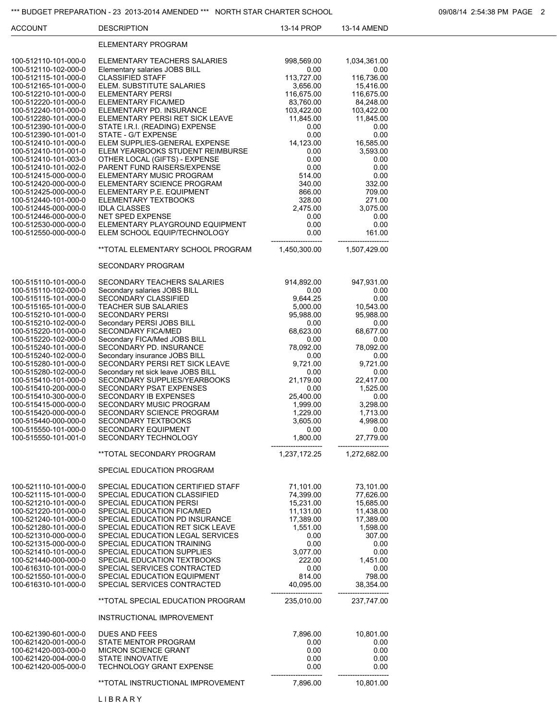#### \*\*\* BUDGET PREPARATION - 23 2013-2014 AMENDED \*\*\* NORTH STAR CHARTER SCHOOL **CHARTER SCHOOL** 09/08/14 2:54:38 PM PAGE 2

| <b>ACCOUNT</b>                               | <b>DESCRIPTION</b>                                                   | 13-14 PROP              | 13-14 AMEND             |  |
|----------------------------------------------|----------------------------------------------------------------------|-------------------------|-------------------------|--|
|                                              | ELEMENTARY PROGRAM                                                   |                         |                         |  |
| 100-512110-101-000-0<br>100-512110-102-000-0 | ELEMENTARY TEACHERS SALARIES<br>Elementary salaries JOBS BILL        | 998,569.00<br>0.00      | 1,034,361.00<br>0.00    |  |
| 100-512115-101-000-0<br>100-512165-101-000-0 | <b>CLASSIFIED STAFF</b><br>ELEM. SUBSTITUTE SALARIES                 | 113,727.00<br>3,656.00  | 116,736.00<br>15,416.00 |  |
| 100-512210-101-000-0                         | ELEMENTARY PERSI                                                     | 116,675.00              | 116,675.00              |  |
| 100-512220-101-000-0                         | ELEMENTARY FICA/MED                                                  | 83,760.00               | 84,248.00               |  |
| 100-512240-101-000-0                         | ELEMENTARY PD. INSURANCE                                             | 103,422.00<br>11,845.00 | 103,422.00              |  |
| 100-512280-101-000-0<br>100-512390-101-000-0 | ELEMENTARY PERSI RET SICK LEAVE<br>STATE I.R.I. (READING) EXPENSE    | 0.00                    | 11,845.00<br>0.00       |  |
| 100-512390-101-001-0                         | STATE - G/T EXPENSE                                                  | 0.00                    | 0.00                    |  |
| 100-512410-101-000-0                         | ELEM SUPPLIES-GENERAL EXPENSE                                        | 14,123.00               | 16,585.00               |  |
| 100-512410-101-001-0<br>100-512410-101-003-0 | ELEM YEARBOOKS STUDENT REIMBURSE<br>OTHER LOCAL (GIFTS) - EXPENSE    | 0.00<br>0.00            | 3,593.00<br>0.00        |  |
| 100-512410-101-002-0                         | PARENT FUND RAISERS/EXPENSE                                          | 0.00                    | 0.00                    |  |
| 100-512415-000-000-0                         | ELEMENTARY MUSIC PROGRAM                                             | 514.00                  | 0.00                    |  |
| 100-512420-000-000-0<br>100-512425-000-000-0 | ELEMENTARY SCIENCE PROGRAM<br>ELEMENTARY P.E. EQUIPMENT              | 340.00<br>866.00        | 332.00<br>709.00        |  |
| 100-512440-101-000-0                         | ELEMENTARY TEXTBOOKS                                                 | 328.00                  | 271.00                  |  |
| 100-512445-000-000-0                         | <b>IDLA CLASSES</b>                                                  | 2,475.00                | 3,075.00                |  |
| 100-512446-000-000-0<br>100-512530-000-000-0 | <b>NET SPED EXPENSE</b><br>ELEMENTARY PLAYGROUND EQUIPMENT           | 0.00<br>0.00            | 0.00<br>0.00            |  |
| 100-512550-000-000-0                         | ELEM SCHOOL EQUIP/TECHNOLOGY                                         | 0.00                    | 161.00                  |  |
|                                              | **TOTAL ELEMENTARY SCHOOL PROGRAM                                    | 1,450,300.00            | 1,507,429.00            |  |
|                                              | <b>SECONDARY PROGRAM</b>                                             |                         |                         |  |
| 100-515110-101-000-0                         | SECONDARY TEACHERS SALARIES                                          | 914,892.00              | 947,931.00              |  |
| 100-515110-102-000-0                         | Secondary salaries JOBS BILL<br><b>SECONDARY CLASSIFIED</b>          | 0.00<br>9,644.25        | 0.00<br>0.00            |  |
| 100-515115-101-000-0<br>100-515165-101-000-0 | <b>TEACHER SUB SALARIES</b>                                          | 5,000.00                | 10,543.00               |  |
| 100-515210-101-000-0                         | <b>SECONDARY PERSI</b>                                               | 95,988.00               | 95,988.00               |  |
| 100-515210-102-000-0<br>100-515220-101-000-0 | Secondary PERSI JOBS BILL                                            | 0.00<br>68,623.00       | 0.00<br>68,677.00       |  |
| 100-515220-102-000-0                         | <b>SECONDARY FICA/MED</b><br>Secondary FICA/Med JOBS BILL            | 0.00                    | 0.00                    |  |
| 100-515240-101-000-0                         | SECONDARY PD. INSURANCE                                              | 78,092.00               | 78,092.00               |  |
| 100-515240-102-000-0<br>100-515280-101-000-0 | Secondary insurance JOBS BILL<br>SECONDARY PERSI RET SICK LEAVE      | 0.00<br>9,721.00        | 0.00<br>9,721.00        |  |
| 100-515280-102-000-0                         | Secondary ret sick leave JOBS BILL                                   | 0.00                    | 0.00                    |  |
| 100-515410-101-000-0                         | SECONDARY SUPPLIES/YEARBOOKS                                         | 21,179.00               | 22,417.00               |  |
| 100-515410-200-000-0<br>100-515410-300-000-0 | <b>SECONDARY PSAT EXPENSES</b><br><b>SECONDARY IB EXPENSES</b>       | 0.00<br>25,400.00       | 1,525.00<br>0.00        |  |
| 100-515415-000-000-0                         | SECONDARY MUSIC PROGRAM                                              | 1,999.00                | 3,298.00                |  |
| 100-515420-000-000-0                         | SECONDARY SCIENCE PROGRAM                                            | 1,229.00                | 1,713.00                |  |
| 100-515440-000-000-0<br>100-515550-101-000-0 | SECONDARY TEXTBOOKS<br>SECONDARY EQUIPMENT                           | 3,605.00<br>0.00        | 4,998.00<br>0.00        |  |
| 100-515550-101-001-0                         | SECONDARY TECHNOLOGY                                                 | 1,800.00                | 27,779.00               |  |
|                                              | **TOTAL SECONDARY PROGRAM                                            | 1,237,172.25            | 1,272,682.00            |  |
|                                              | SPECIAL EDUCATION PROGRAM                                            |                         |                         |  |
| 100-521110-101-000-0                         | SPECIAL EDUCATION CERTIFIED STAFF                                    | 71,101.00               | 73,101.00               |  |
| 100-521115-101-000-0<br>100-521210-101-000-0 | SPECIAL EDUCATION CLASSIFIED<br>SPECIAL EDUCATION PERSI              | 74,399.00<br>15,231.00  | 77,626.00<br>15,685.00  |  |
| 100-521220-101-000-0                         | SPECIAL EDUCATION FICA/MED                                           | 11,131.00               | 11,438.00               |  |
| 100-521240-101-000-0                         | SPECIAL EDUCATION PD INSURANCE                                       | 17,389.00               | 17,389.00               |  |
| 100-521280-101-000-0<br>100-521310-000-000-0 | SPECIAL EDUCATION RET SICK LEAVE<br>SPECIAL EDUCATION LEGAL SERVICES | 1,551.00<br>0.00        | 1,598.00<br>307.00      |  |
| 100-521315-000-000-0                         | SPECIAL EDUCATION TRAINING                                           | 0.00                    | 0.00                    |  |
| 100-521410-101-000-0                         | SPECIAL EDUCATION SUPPLIES                                           | 3,077.00                | 0.00                    |  |
| 100-521440-000-000-0<br>100-616310-101-000-0 | SPECIAL EDUCATION TEXTBOOKS<br>SPECIAL SERVICES CONTRACTED           | 222.00<br>0.00          | 1,451.00<br>0.00        |  |
| 100-521550-101-000-0                         | SPECIAL EDUCATION EQUIPMENT                                          | 814.00                  | 798.00                  |  |
| 100-616310-101-000-0                         | SPECIAL SERVICES CONTRACTED                                          | 40,095.00               | 38,354.00               |  |
|                                              | **TOTAL SPECIAL EDUCATION PROGRAM                                    | 235,010.00              | 237,747.00              |  |
|                                              | INSTRUCTIONAL IMPROVEMENT                                            |                         |                         |  |
| 100-621390-601-000-0                         | DUES AND FEES                                                        | 7,896.00                | 10,801.00               |  |
| 100-621420-001-000-0<br>100-621420-003-000-0 | STATE MENTOR PROGRAM<br><b>MICRON SCIENCE GRANT</b>                  | 0.00<br>0.00            | 0.00<br>0.00            |  |
| 100-621420-004-000-0                         | <b>STATE INNOVATIVE</b>                                              | 0.00                    | 0.00                    |  |
| 100-621420-005-000-0                         | <b>TECHNOLOGY GRANT EXPENSE</b>                                      | 0.00                    | 0.00                    |  |
|                                              | **TOTAL INSTRUCTIONAL IMPROVEMENT                                    | 7,896.00                | 10,801.00               |  |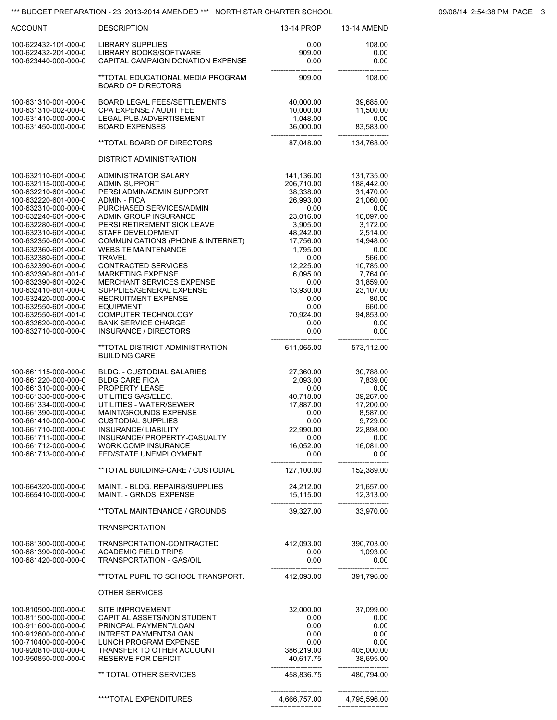### \*\*\* BUDGET PREPARATION - 23 2013-2014 AMENDED \*\*\* NORTH STAR CHARTER SCHOOL 09/08/14 2:54:38 PM PAGE 3

| <b>ACCOUNT</b>                               | <b>DESCRIPTION</b>                                             | 13-14 PROP             | <b>13-14 AMEND</b>     |
|----------------------------------------------|----------------------------------------------------------------|------------------------|------------------------|
| 100-622432-101-000-0                         | LIBRARY SUPPLIES                                               | 0.00                   | 108.00                 |
| 100-622432-201-000-0                         | LIBRARY BOOKS/SOFTWARE                                         | 909.00                 | 0.00                   |
| 100-623440-000-000-0                         | CAPITAL CAMPAIGN DONATION EXPENSE                              | 0.00                   | 0.00                   |
|                                              | **TOTAL EDUCATIONAL MEDIA PROGRAM<br><b>BOARD OF DIRECTORS</b> | 909.00                 | 108.00                 |
| 100-631310-001-000-0                         | <b>BOARD LEGAL FEES/SETTLEMENTS</b>                            | 40,000.00              | 39,685.00              |
| 100-631310-002-000-0                         | CPA EXPENSE / AUDIT FEE                                        | 10,000.00              | 11,500.00              |
| 100-631410-000-000-0                         | <b>LEGAL PUB./ADVERTISEMENT</b>                                | 1,048.00               | 0.00                   |
| 100-631450-000-000-0                         | <b>BOARD EXPENSES</b>                                          | 36,000.00              | 83,583.00              |
|                                              | **TOTAL BOARD OF DIRECTORS                                     | 87,048.00              | 134,768.00             |
|                                              | DISTRICT ADMINISTRATION                                        |                        |                        |
| 100-632110-601-000-0                         | <b>ADMINISTRATOR SALARY</b>                                    | 141,136.00             | 131,735.00             |
| 100-632115-000-000-0                         | ADMIN SUPPORT                                                  | 206,710.00             | 188,442.00             |
| 100-632210-601-000-0<br>100-632220-601-000-0 | PERSI ADMIN/ADMIN SUPPORT<br>ADMIN - FICA                      | 38,338.00<br>26,993.00 | 31,470.00<br>21,060.00 |
| 100-632310-000-000-0                         | PURCHASED SERVICES/ADMIN                                       | 0.00                   | 0.00                   |
| 100-632240-601-000-0                         | ADMIN GROUP INSURANCE                                          | 23,016.00              | 10,097.00              |
| 100-632280-601-000-0                         | PERSI RETIREMENT SICK LEAVE                                    | 3,905.00               | 3,172.00               |
| 100-632310-601-000-0                         | STAFF DEVELOPMENT                                              | 48,242.00              | 2,514.00               |
| 100-632350-601-000-0                         | <b>COMMUNICATIONS (PHONE &amp; INTERNET)</b>                   | 17,756.00              | 14,948.00              |
| 100-632360-601-000-0                         | <b>WEBSITE MAINTENANCE</b>                                     | 1,795.00               | 0.00                   |
| 100-632380-601-000-0                         | <b>TRAVEL</b>                                                  | 0.00                   | 566.00                 |
| 100-632390-601-000-0<br>100-632390-601-001-0 | <b>CONTRACTED SERVICES</b><br><b>MARKETING EXPENSE</b>         | 12,225.00<br>6,095.00  | 10,785.00              |
| 100-632390-601-002-0                         | <b>MERCHANT SERVICES EXPENSE</b>                               | 0.00                   | 7,764.00<br>31,859.00  |
| 100-632410-601-000-0                         | SUPPLIES/GENERAL EXPENSE                                       | 13,930.00              | 23,107.00              |
| 100-632420-000-000-0                         | <b>RECRUITMENT EXPENSE</b>                                     | 0.00                   | 80.00                  |
| 100-632550-601-000-0                         | <b>EQUIPMENT</b>                                               | 0.00                   | 660.00                 |
| 100-632550-601-001-0                         | <b>COMPUTER TECHNOLOGY</b>                                     | 70,924.00              | 94,853.00              |
| 100-632620-000-000-0                         | <b>BANK SERVICE CHARGE</b>                                     | 0.00                   | 0.00                   |
| 100-632710-000-000-0                         | <b>INSURANCE / DIRECTORS</b>                                   | 0.00                   | 0.00                   |
|                                              | **TOTAL DISTRICT ADMINISTRATION<br><b>BUILDING CARE</b>        | 611,065.00             | 573,112.00             |
| 100-661115-000-000-0                         | <b>BLDG. - CUSTODIAL SALARIES</b>                              | 27,360.00              | 30,788.00              |
| 100-661220-000-000-0                         | <b>BLDG CARE FICA</b>                                          | 2,093.00               | 7,839.00               |
| 100-661310-000-000-0                         | <b>PROPERTY LEASE</b>                                          | 0.00                   | 0.00                   |
| 100-661330-000-000-0                         | UTILITIES GAS/ELEC.                                            | 40,718.00              | 39,267.00              |
| 100-661334-000-000-0                         | UTILITIES - WATER/SEWER                                        | 17,887.00              | 17,200.00              |
| 100-661390-000-000-0<br>100-661410-000-000-0 | MAINT/GROUNDS EXPENSE<br><b>CUSTODIAL SUPPLIES</b>             | 0.00<br>0.00           | 8,587.00<br>9,729.00   |
| 100-661710-000-000-0                         | <b>INSURANCE/ LIABILITY</b>                                    | 22,990.00              | 22,898.00              |
| 100-661711-000-000-0                         | INSURANCE/ PROPERTY-CASUALTY                                   | 0.00                   | 0.00                   |
| 100-661712-000-000-0                         | <b>WORK.COMP INSURANCE</b>                                     | 16,052.00              | 16,081.00              |
| 100-661713-000-000-0                         | FED/STATE UNEMPLOYMENT                                         | 0.00                   | 0.00                   |
|                                              | **TOTAL BUILDING-CARE / CUSTODIAL                              | 127,100.00             | 152,389.00             |
| 100-664320-000-000-0                         | MAINT. - BLDG. REPAIRS/SUPPLIES                                | 24,212.00              | 21,657.00              |
| 100-665410-000-000-0                         | MAINT. - GRNDS. EXPENSE                                        | 15,115.00              | 12,313.00              |
|                                              | **TOTAL MAINTENANCE / GROUNDS                                  | 39,327.00              | 33,970.00              |
|                                              | <b>TRANSPORTATION</b>                                          |                        |                        |
| 100-681300-000-000-0                         | TRANSPORTATION-CONTRACTED                                      | 412,093.00             | 390,703.00             |
| 100-681390-000-000-0                         | <b>ACADEMIC FIELD TRIPS</b>                                    | 0.00                   | 1,093.00               |
| 100-681420-000-000-0                         | TRANSPORTATION - GAS/OIL                                       | 0.00                   | 0.00                   |
|                                              | **TOTAL PUPIL TO SCHOOL TRANSPORT.                             | 412,093.00             | 391,796.00             |
|                                              | OTHER SERVICES                                                 |                        |                        |
| 100-810500-000-000-0                         | SITE IMPROVEMENT                                               | 32,000.00              | 37,099.00              |
| 100-811500-000-000-0                         | CAPITIAL ASSETS/NON STUDENT                                    | 0.00                   | 0.00                   |
| 100-911600-000-000-0                         | PRINCPAL PAYMENT/LOAN                                          | 0.00                   | 0.00                   |
| 100-912600-000-000-0                         | <b>INTREST PAYMENTS/LOAN</b>                                   | 0.00                   | 0.00                   |
| 100-710400-000-000-0                         | LUNCH PROGRAM EXPENSE                                          | 0.00                   | 0.00                   |
| 100-920810-000-000-0                         | TRANSFER TO OTHER ACCOUNT                                      | 386,219.00             | 405,000.00             |
| 100-950850-000-000-0                         | RESERVE FOR DEFICIT                                            | 40,617.75              | 38,695.00              |
|                                              | ** TOTAL OTHER SERVICES                                        | 458,836.75             | 480,794.00             |
|                                              | ****TOTAL EXPENDITURES                                         | 4,666,757.00           | 4,795,596.00           |
|                                              |                                                                | ============           | ============           |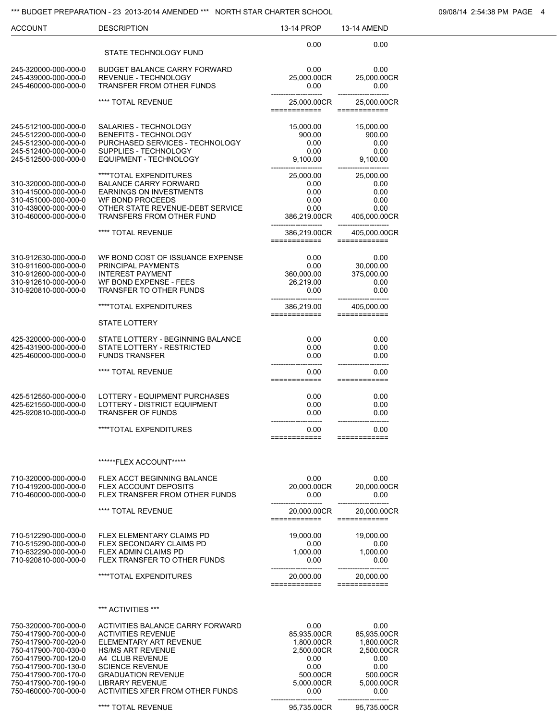#### \*\*\* BUDGET PREPARATION - 23 2013-2014 AMENDED \*\*\* NORTH STAR CHARTER SCHOOL 00008/14 2:54:38 PM PAGE 4

| <b>ACCOUNT</b>                                                                                                                                                                                                       | <b>DESCRIPTION</b>                                                                                                                                                                                                                                          | 13-14 PROP                                                                                        | <b>13-14 AMEND</b>                                                                                |
|----------------------------------------------------------------------------------------------------------------------------------------------------------------------------------------------------------------------|-------------------------------------------------------------------------------------------------------------------------------------------------------------------------------------------------------------------------------------------------------------|---------------------------------------------------------------------------------------------------|---------------------------------------------------------------------------------------------------|
|                                                                                                                                                                                                                      | STATE TECHNOLOGY FUND                                                                                                                                                                                                                                       | 0.00                                                                                              | 0.00                                                                                              |
| 245-320000-000-000-0<br>245-439000-000-000-0<br>245-460000-000-000-0                                                                                                                                                 | <b>BUDGET BALANCE CARRY FORWARD</b><br>REVENUE - TECHNOLOGY<br><b>TRANSFER FROM OTHER FUNDS</b>                                                                                                                                                             | 0.00<br>25,000.00CR<br>0.00                                                                       | 0.00<br>25,000.00CR<br>0.00                                                                       |
|                                                                                                                                                                                                                      | **** TOTAL REVENUE                                                                                                                                                                                                                                          | 25,000.00CR<br>============                                                                       | 25,000.00CR<br>============                                                                       |
| 245-512100-000-000-0<br>245-512200-000-000-0<br>245-512300-000-000-0<br>245-512400-000-000-0<br>245-512500-000-000-0                                                                                                 | SALARIES - TECHNOLOGY<br><b>BENEFITS - TECHNOLOGY</b><br>PURCHASED SERVICES - TECHNOLOGY<br>SUPPLIES - TECHNOLOGY<br><b>EQUIPMENT - TECHNOLOGY</b>                                                                                                          | 15,000.00<br>900.00<br>0.00<br>0.00<br>9,100.00                                                   | 15,000.00<br>900.00<br>0.00<br>0.00<br>9,100.00                                                   |
| 310-320000-000-000-0<br>310-415000-000-000-0<br>310-451000-000-000-0<br>310-439000-000-000-0<br>310-460000-000-000-0                                                                                                 | ****TOTAL EXPENDITURES<br><b>BALANCE CARRY FORWARD</b><br><b>EARNINGS ON INVESTMENTS</b><br><b>WF BOND PROCEEDS</b><br>OTHER STATE REVENUE-DEBT SERVICE<br>TRANSFERS FROM OTHER FUND                                                                        | 25,000.00<br>0.00<br>0.00<br>0.00<br>0.00<br>386,219.00CR                                         | 25,000.00<br>0.00<br>0.00<br>0.00<br>0.00<br>405,000.00CR                                         |
|                                                                                                                                                                                                                      | **** TOTAL REVENUE                                                                                                                                                                                                                                          | 386,219.00CR<br>============                                                                      | 405,000.00CR<br>============                                                                      |
| 310-912630-000-000-0<br>310-911600-000-000-0<br>310-912600-000-000-0<br>310-912610-000-000-0<br>310-920810-000-000-0                                                                                                 | WF BOND COST OF ISSUANCE EXPENSE<br>PRINCIPAL PAYMENTS<br><b>INTEREST PAYMENT</b><br><b>WF BOND EXPENSE - FEES</b><br><b>TRANSFER TO OTHER FUNDS</b>                                                                                                        | 0.00<br>0.00<br>360,000.00<br>26,219.00<br>0.00                                                   | 0.00<br>30,000.00<br>375,000.00<br>0.00<br>0.00                                                   |
|                                                                                                                                                                                                                      | ****TOTAL EXPENDITURES                                                                                                                                                                                                                                      | 386,219.00<br>============                                                                        | 405,000.00<br>============                                                                        |
|                                                                                                                                                                                                                      | <b>STATE LOTTERY</b>                                                                                                                                                                                                                                        |                                                                                                   |                                                                                                   |
| 425-320000-000-000-0<br>425-431900-000-000-0<br>425-460000-000-000-0                                                                                                                                                 | STATE LOTTERY - BEGINNING BALANCE<br>STATE LOTTERY - RESTRICTED<br><b>FUNDS TRANSFER</b>                                                                                                                                                                    | 0.00<br>0.00<br>0.00                                                                              | 0.00<br>0.00<br>0.00                                                                              |
|                                                                                                                                                                                                                      | **** TOTAL REVENUE                                                                                                                                                                                                                                          | 0.00<br>============                                                                              | 0.00<br>============                                                                              |
| 425-512550-000-000-0<br>425-621550-000-000-0<br>425-920810-000-000-0                                                                                                                                                 | LOTTERY - EQUIPMENT PURCHASES<br>LOTTERY - DISTRICT EQUIPMENT<br><b>TRANSFER OF FUNDS</b>                                                                                                                                                                   | 0.00<br>0.00<br>0.00                                                                              | 0.00<br>0.00<br>0.00                                                                              |
|                                                                                                                                                                                                                      | ****TOTAL EXPENDITURES                                                                                                                                                                                                                                      | 0.00<br>============                                                                              | 0.00<br>============                                                                              |
|                                                                                                                                                                                                                      | ******FLEX ACCOUNT*****                                                                                                                                                                                                                                     |                                                                                                   |                                                                                                   |
| 710-320000-000-000-0<br>710-419200-000-000-0<br>710-460000-000-000-0                                                                                                                                                 | FLEX ACCT BEGINNING BALANCE<br>FLEX ACCOUNT DEPOSITS<br>FLEX TRANSFER FROM OTHER FUNDS                                                                                                                                                                      | 0.00<br>20,000.00CR<br>0.00                                                                       | 0.00<br>20,000.00CR<br>0.00                                                                       |
|                                                                                                                                                                                                                      | **** TOTAL REVENUE                                                                                                                                                                                                                                          | 20,000.00CR<br>============                                                                       | 20,000.00CR<br>============                                                                       |
| 710-512290-000-000-0<br>710-515290-000-000-0<br>710-632290-000-000-0<br>710-920810-000-000-0                                                                                                                         | <b>FLEX ELEMENTARY CLAIMS PD</b><br><b>FLEX SECONDARY CLAIMS PD</b><br><b>FLEX ADMIN CLAIMS PD</b><br>FLEX TRANSFER TO OTHER FUNDS                                                                                                                          | 19,000.00<br>0.00<br>1,000.00<br>0.00                                                             | 19,000.00<br>0.00<br>1,000.00<br>0.00                                                             |
|                                                                                                                                                                                                                      | ****TOTAL EXPENDITURES                                                                                                                                                                                                                                      | 20,000.00<br>============                                                                         | 20,000.00<br>============                                                                         |
|                                                                                                                                                                                                                      | *** ACTIVITIES ***                                                                                                                                                                                                                                          |                                                                                                   |                                                                                                   |
| 750-320000-700-000-0<br>750-417900-700-000-0<br>750-417900-700-020-0<br>750-417900-700-030-0<br>750-417900-700-120-0<br>750-417900-700-130-0<br>750-417900-700-170-0<br>750-417900-700-190-0<br>750-460000-700-000-0 | ACTIVITIES BALANCE CARRY FORWARD<br><b>ACTIVITIES REVENUE</b><br>ELEMENTARY ART REVENUE<br><b>HS/MS ART REVENUE</b><br>A4 CLUB REVENUE<br><b>SCIENCE REVENUE</b><br><b>GRADUATION REVENUE</b><br><b>LIBRARY REVENUE</b><br>ACTIVITIES XFER FROM OTHER FUNDS | 0.00<br>85,935.00CR<br>1,800.00CR<br>2,500.00CR<br>0.00<br>0.00<br>500.00CR<br>5,000.00CR<br>0.00 | 0.00<br>85,935.00CR<br>1,800.00CR<br>2,500.00CR<br>0.00<br>0.00<br>500.00CR<br>5,000.00CR<br>0.00 |
|                                                                                                                                                                                                                      | **** TOTAL REVENUE                                                                                                                                                                                                                                          | 95,735.00CR                                                                                       | 95,735.00CR                                                                                       |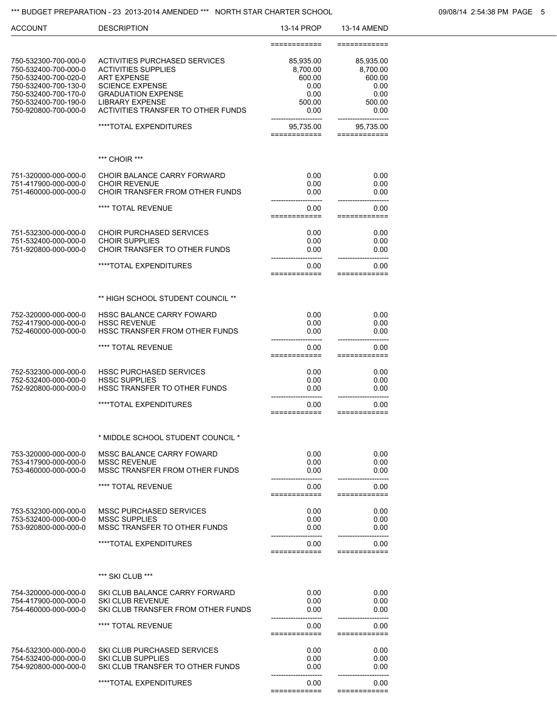## \*\*\* BUDGET PREPARATION - 23 2013-2014 AMENDED \*\*\* NORTH STAR CHARTER SCHOOL **199008/14 2:54:38 PM PAGE 5**

|            |             | ---- |
|------------|-------------|------|
| 13-14 PROP | 13-14 AMEND |      |

| <b>ACCOUNT</b>                                                                                                                                                       | <b>DESCRIPTION</b>                                                                                                                                                                                              | 13-14 PROP                                                        | 13-14 AMEND                                                       |
|----------------------------------------------------------------------------------------------------------------------------------------------------------------------|-----------------------------------------------------------------------------------------------------------------------------------------------------------------------------------------------------------------|-------------------------------------------------------------------|-------------------------------------------------------------------|
|                                                                                                                                                                      |                                                                                                                                                                                                                 | ============                                                      | ============                                                      |
| 750-532300-700-000-0<br>750-532400-700-000-0<br>750-532400-700-020-0<br>750-532400-700-130-0<br>750-532400-700-170-0<br>750-532400-700-190-0<br>750-920800-700-000-0 | <b>ACTIVITIES PURCHASED SERVICES</b><br><b>ACTIVITIES SUPPLIES</b><br><b>ART EXPENSE</b><br><b>SCIENCE EXPENSE</b><br><b>GRADUATION EXPENSE</b><br><b>LIBRARY EXPENSE</b><br>ACTIVITIES TRANSFER TO OTHER FUNDS | 85,935.00<br>8,700.00<br>600.00<br>0.00<br>0.00<br>500.00<br>0.00 | 85,935.00<br>8,700.00<br>600.00<br>0.00<br>0.00<br>500.00<br>0.00 |
|                                                                                                                                                                      | ****TOTAL EXPENDITURES                                                                                                                                                                                          | 95,735.00<br>===========                                          | 95,735.00<br>==========                                           |
|                                                                                                                                                                      |                                                                                                                                                                                                                 |                                                                   |                                                                   |
|                                                                                                                                                                      | *** CHOIR ***                                                                                                                                                                                                   |                                                                   |                                                                   |
| 751-320000-000-000-0<br>751-417900-000-000-0<br>751-460000-000-000-0                                                                                                 | CHOIR BALANCE CARRY FORWARD<br><b>CHOIR REVENUE</b><br>CHOIR TRANSFER FROM OTHER FUNDS                                                                                                                          | 0.00<br>0.00<br>0.00                                              | 0.00<br>0.00<br>0.00                                              |
|                                                                                                                                                                      | **** TOTAL REVENUE                                                                                                                                                                                              | 0.00<br>===========                                               | 0.00<br>============                                              |
| 751-532300-000-000-0<br>751-532400-000-000-0<br>751-920800-000-000-0                                                                                                 | <b>CHOIR PURCHASED SERVICES</b><br><b>CHOIR SUPPLIES</b><br>CHOIR TRANSFER TO OTHER FUNDS                                                                                                                       | 0.00<br>0.00<br>0.00                                              | 0.00<br>0.00<br>0.00                                              |
|                                                                                                                                                                      | ****TOTAL EXPENDITURES                                                                                                                                                                                          | 0.00<br>:===========                                              | 0.00<br>============                                              |
|                                                                                                                                                                      | ** HIGH SCHOOL STUDENT COUNCIL **                                                                                                                                                                               |                                                                   |                                                                   |
| 752-320000-000-000-0                                                                                                                                                 | HSSC BALANCE CARRY FOWARD                                                                                                                                                                                       | 0.00                                                              | 0.00                                                              |
| 752-417900-000-000-0<br>752-460000-000-000-0                                                                                                                         | <b>HSSC REVENUE</b><br>HSSC TRANSFER FROM OTHER FUNDS                                                                                                                                                           | 0.00<br>0.00                                                      | 0.00<br>0.00                                                      |
|                                                                                                                                                                      | **** TOTAL REVENUE                                                                                                                                                                                              | 0.00<br>============                                              | 0.00<br>============                                              |
| 752-532300-000-000-0<br>752-532400-000-000-0<br>752-920800-000-000-0                                                                                                 | <b>HSSC PURCHASED SERVICES</b><br><b>HSSC SUPPLIES</b><br><b>HSSC TRANSFER TO OTHER FUNDS</b>                                                                                                                   | 0.00<br>0.00<br>0.00                                              | 0.00<br>0.00<br>0.00                                              |
|                                                                                                                                                                      | ****TOTAL EXPENDITURES                                                                                                                                                                                          | 0.00<br>============                                              | 0.00<br>==========                                                |
|                                                                                                                                                                      | * MIDDLE SCHOOL STUDENT COUNCIL *                                                                                                                                                                               |                                                                   |                                                                   |
| 753-320000-000-000-0                                                                                                                                                 | MSSC BALANCE CARRY FOWARD                                                                                                                                                                                       |                                                                   |                                                                   |
| 753-417900-000-000-0<br>753-460000-000-000-0                                                                                                                         | <b>MSSC REVENUE</b><br>MSSC TRANSFER FROM OTHER FUNDS                                                                                                                                                           | 0.00<br>0.00<br>0.00                                              | 0.00<br>0.00<br>0.00                                              |
|                                                                                                                                                                      | **** TOTAL REVENUE                                                                                                                                                                                              | 0.00<br>:===========                                              | 0.00<br>============                                              |
| 753-532300-000-000-0                                                                                                                                                 | <b>MSSC PURCHASED SERVICES</b>                                                                                                                                                                                  | 0.00                                                              | 0.00                                                              |
| 753-532400-000-000-0<br>753-920800-000-000-0                                                                                                                         | <b>MSSC SUPPLIES</b><br>MSSC TRANSFER TO OTHER FUNDS                                                                                                                                                            | 0.00<br>0.00                                                      | 0.00<br>0.00                                                      |
|                                                                                                                                                                      | ****TOTAL EXPENDITURES                                                                                                                                                                                          | 0.00                                                              | 0.00                                                              |
|                                                                                                                                                                      |                                                                                                                                                                                                                 | ===========                                                       | ==========                                                        |
|                                                                                                                                                                      | *** SKI CLUB ***                                                                                                                                                                                                |                                                                   |                                                                   |
| 754-320000-000-000-0<br>754-417900-000-000-0<br>754-460000-000-000-0                                                                                                 | SKI CLUB BALANCE CARRY FORWARD<br><b>SKI CLUB REVENUE</b><br>SKI CLUB TRANSFER FROM OTHER FUNDS                                                                                                                 | 0.00<br>0.00<br>0.00                                              | 0.00<br>0.00<br>0.00                                              |
|                                                                                                                                                                      | **** TOTAL REVENUE                                                                                                                                                                                              | 0.00<br>============                                              | 0.00<br>============                                              |
|                                                                                                                                                                      |                                                                                                                                                                                                                 |                                                                   |                                                                   |
| 754-532300-000-000-0<br>754-532400-000-000-0                                                                                                                         | SKI CLUB PURCHASED SERVICES<br><b>SKI CLUB SUPPLIES</b>                                                                                                                                                         | 0.00<br>0.00                                                      | 0.00<br>0.00                                                      |
| 754-920800-000-000-0                                                                                                                                                 | SKI CLUB TRANSFER TO OTHER FUNDS                                                                                                                                                                                | 0.00                                                              | 0.00                                                              |
|                                                                                                                                                                      | ****TOTAL EXPENDITURES                                                                                                                                                                                          | 0.00                                                              | 0.00<br>=====                                                     |